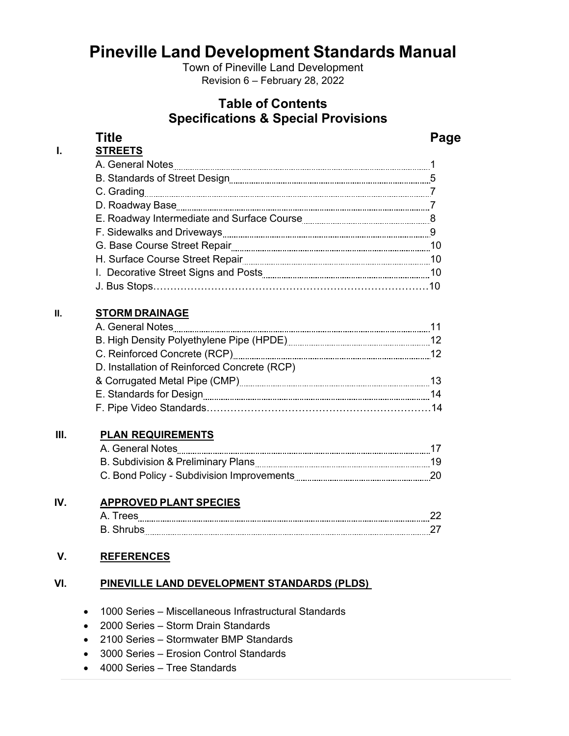# **Pineville Land Development Standards Manual**

Town of Pineville Land Development Revision 6 – February 28, 2022

## **Table of Contents Specifications & Special Provisions**

# **I. STREETS**

#### **Title Page**

#### **II. STORM DRAINAGE**

| A. General Notes                             | -11  |
|----------------------------------------------|------|
|                                              |      |
|                                              | 12   |
| D. Installation of Reinforced Concrete (RCP) |      |
|                                              | - 13 |
|                                              | 14   |
|                                              |      |

#### **III. PLAN REQUIREMENTS**

| A. General Notes                          |  |
|-------------------------------------------|--|
| B. Subdivision & Preliminary Plans        |  |
| C. Bond Policy - Subdivision Improvements |  |

#### **IV. APPROVED PLANT SPECIES**

| A  |  |
|----|--|
| R. |  |

#### **V. REFERENCES**

#### **VI. PINEVILLE LAND DEVELOPMENT STANDARDS (PLDS)**

- 1000 Series Miscellaneous Infrastructural Standards
- 2000 Series Storm Drain Standards
- 2100 Series Stormwater BMP Standards
- 3000 Series Erosion Control Standards
- 4000 Series Tree Standards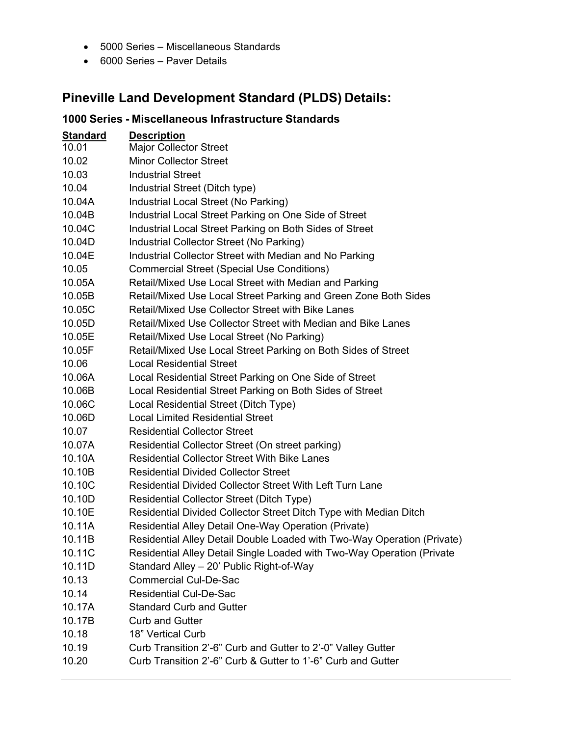- 5000 Series Miscellaneous Standards
- 6000 Series Paver Details

# **Pineville Land Development Standard (PLDS) Details:**

|                 | 1000 Series - Miscellaneous Infrastructure Standards                    |
|-----------------|-------------------------------------------------------------------------|
| <b>Standard</b> | <b>Description</b>                                                      |
| 10.01           | <b>Major Collector Street</b>                                           |
| 10.02           | <b>Minor Collector Street</b>                                           |
| 10.03           | <b>Industrial Street</b>                                                |
| 10.04           | Industrial Street (Ditch type)                                          |
| 10.04A          | Industrial Local Street (No Parking)                                    |
| 10.04B          | Industrial Local Street Parking on One Side of Street                   |
| 10.04C          | Industrial Local Street Parking on Both Sides of Street                 |
| 10.04D          | Industrial Collector Street (No Parking)                                |
| 10.04E          | Industrial Collector Street with Median and No Parking                  |
| 10.05           | <b>Commercial Street (Special Use Conditions)</b>                       |
| 10.05A          | Retail/Mixed Use Local Street with Median and Parking                   |
| 10.05B          | Retail/Mixed Use Local Street Parking and Green Zone Both Sides         |
| 10.05C          | Retail/Mixed Use Collector Street with Bike Lanes                       |
| 10.05D          | Retail/Mixed Use Collector Street with Median and Bike Lanes            |
| 10.05E          | Retail/Mixed Use Local Street (No Parking)                              |
| 10.05F          | Retail/Mixed Use Local Street Parking on Both Sides of Street           |
| 10.06           | <b>Local Residential Street</b>                                         |
| 10.06A          | Local Residential Street Parking on One Side of Street                  |
| 10.06B          | Local Residential Street Parking on Both Sides of Street                |
| 10.06C          | Local Residential Street (Ditch Type)                                   |
| 10.06D          | <b>Local Limited Residential Street</b>                                 |
| 10.07           | <b>Residential Collector Street</b>                                     |
| 10.07A          | Residential Collector Street (On street parking)                        |
| 10.10A          | <b>Residential Collector Street With Bike Lanes</b>                     |
| 10.10B          | <b>Residential Divided Collector Street</b>                             |
| 10.10C          | <b>Residential Divided Collector Street With Left Turn Lane</b>         |
| 10.10D          | Residential Collector Street (Ditch Type)                               |
| 10.10E          | Residential Divided Collector Street Ditch Type with Median Ditch       |
| 10.11A          | Residential Alley Detail One-Way Operation (Private)                    |
| 10.11B          | Residential Alley Detail Double Loaded with Two-Way Operation (Private) |
| 10.11C          | Residential Alley Detail Single Loaded with Two-Way Operation (Private  |
| 10.11D          | Standard Alley - 20' Public Right-of-Way                                |
| 10.13           | <b>Commercial Cul-De-Sac</b>                                            |
| 10.14           | <b>Residential Cul-De-Sac</b>                                           |
| 10.17A          | <b>Standard Curb and Gutter</b>                                         |
| 10.17B          | <b>Curb and Gutter</b>                                                  |
| 10.18           | 18" Vertical Curb                                                       |
| 10.19           | Curb Transition 2'-6" Curb and Gutter to 2'-0" Valley Gutter            |
| 10.20           | Curb Transition 2'-6" Curb & Gutter to 1'-6" Curb and Gutter            |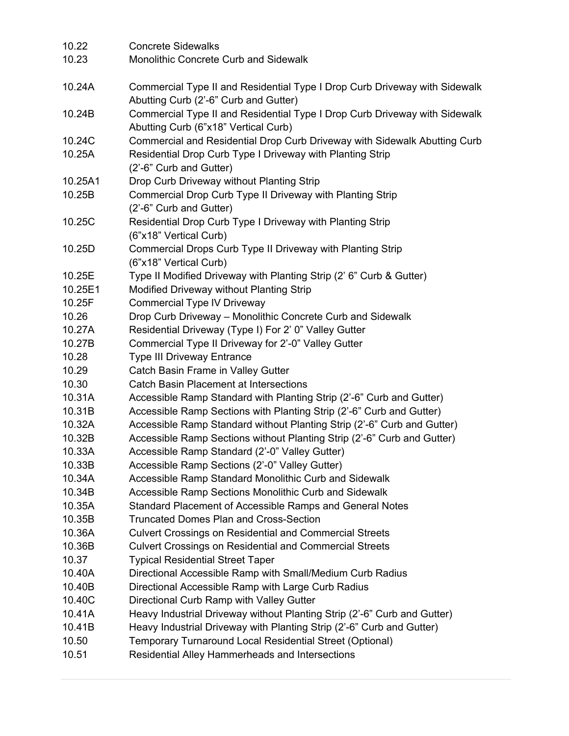| 10.23<br>Monolithic Concrete Curb and Sidewalk<br>Commercial Type II and Residential Type I Drop Curb Driveway with Sidewalk<br>10.24A<br>Abutting Curb (2'-6" Curb and Gutter)<br>Commercial Type II and Residential Type I Drop Curb Driveway with Sidewalk<br>10.24B<br>Abutting Curb (6"x18" Vertical Curb)<br>Commercial and Residential Drop Curb Driveway with Sidewalk Abutting Curb<br>10.24C<br>Residential Drop Curb Type I Driveway with Planting Strip<br>10.25A<br>(2'-6" Curb and Gutter)<br>Drop Curb Driveway without Planting Strip<br>10.25A1<br>Commercial Drop Curb Type II Driveway with Planting Strip<br>10.25B<br>(2'-6" Curb and Gutter)<br>Residential Drop Curb Type I Driveway with Planting Strip<br>10.25C<br>(6"x18" Vertical Curb)<br>Commercial Drops Curb Type II Driveway with Planting Strip<br>10.25D<br>(6"x18" Vertical Curb)<br>Type II Modified Driveway with Planting Strip (2' 6" Curb & Gutter)<br>10.25E<br>Modified Driveway without Planting Strip<br>10.25E1<br><b>Commercial Type IV Driveway</b><br>10.25F<br>Drop Curb Driveway - Monolithic Concrete Curb and Sidewalk<br>10.26<br>10.27A<br>Residential Driveway (Type I) For 2' 0" Valley Gutter<br>Commercial Type II Driveway for 2'-0" Valley Gutter<br>10.27B<br>10.28<br><b>Type III Driveway Entrance</b><br>Catch Basin Frame in Valley Gutter<br>10.29<br>10.30<br><b>Catch Basin Placement at Intersections</b><br>Accessible Ramp Standard with Planting Strip (2'-6" Curb and Gutter)<br>10.31A<br>Accessible Ramp Sections with Planting Strip (2'-6" Curb and Gutter)<br>10.31B<br>Accessible Ramp Standard without Planting Strip (2'-6" Curb and Gutter)<br>10.32A<br>Accessible Ramp Sections without Planting Strip (2'-6" Curb and Gutter)<br>10.32B<br>Accessible Ramp Standard (2'-0" Valley Gutter)<br>10.33A<br>Accessible Ramp Sections (2'-0" Valley Gutter)<br>10.33B<br>Accessible Ramp Standard Monolithic Curb and Sidewalk<br>10.34A<br>Accessible Ramp Sections Monolithic Curb and Sidewalk<br>10.34B<br>Standard Placement of Accessible Ramps and General Notes<br>10.35A<br><b>Truncated Domes Plan and Cross-Section</b><br>10.35B<br>10.36A<br><b>Culvert Crossings on Residential and Commercial Streets</b><br>10.36B<br><b>Culvert Crossings on Residential and Commercial Streets</b><br>10.37<br><b>Typical Residential Street Taper</b><br>Directional Accessible Ramp with Small/Medium Curb Radius<br>10.40A<br>Directional Accessible Ramp with Large Curb Radius<br>10.40B<br>10.40C<br>Directional Curb Ramp with Valley Gutter<br>10.41A<br>Heavy Industrial Driveway without Planting Strip (2'-6" Curb and Gutter)<br>Heavy Industrial Driveway with Planting Strip (2'-6" Curb and Gutter)<br>10.41B<br>10.50<br>Temporary Turnaround Local Residential Street (Optional)<br>10.51<br>Residential Alley Hammerheads and Intersections | 10.22 | <b>Concrete Sidewalks</b> |
|-------------------------------------------------------------------------------------------------------------------------------------------------------------------------------------------------------------------------------------------------------------------------------------------------------------------------------------------------------------------------------------------------------------------------------------------------------------------------------------------------------------------------------------------------------------------------------------------------------------------------------------------------------------------------------------------------------------------------------------------------------------------------------------------------------------------------------------------------------------------------------------------------------------------------------------------------------------------------------------------------------------------------------------------------------------------------------------------------------------------------------------------------------------------------------------------------------------------------------------------------------------------------------------------------------------------------------------------------------------------------------------------------------------------------------------------------------------------------------------------------------------------------------------------------------------------------------------------------------------------------------------------------------------------------------------------------------------------------------------------------------------------------------------------------------------------------------------------------------------------------------------------------------------------------------------------------------------------------------------------------------------------------------------------------------------------------------------------------------------------------------------------------------------------------------------------------------------------------------------------------------------------------------------------------------------------------------------------------------------------------------------------------------------------------------------------------------------------------------------------------------------------------------------------------------------------------------------------------------------------------------------------------------------------------------------------------------------------------------------------------------------------------------------------------------------------------------------------------------------------------------------------------|-------|---------------------------|
|                                                                                                                                                                                                                                                                                                                                                                                                                                                                                                                                                                                                                                                                                                                                                                                                                                                                                                                                                                                                                                                                                                                                                                                                                                                                                                                                                                                                                                                                                                                                                                                                                                                                                                                                                                                                                                                                                                                                                                                                                                                                                                                                                                                                                                                                                                                                                                                                                                                                                                                                                                                                                                                                                                                                                                                                                                                                                                 |       |                           |
|                                                                                                                                                                                                                                                                                                                                                                                                                                                                                                                                                                                                                                                                                                                                                                                                                                                                                                                                                                                                                                                                                                                                                                                                                                                                                                                                                                                                                                                                                                                                                                                                                                                                                                                                                                                                                                                                                                                                                                                                                                                                                                                                                                                                                                                                                                                                                                                                                                                                                                                                                                                                                                                                                                                                                                                                                                                                                                 |       |                           |
|                                                                                                                                                                                                                                                                                                                                                                                                                                                                                                                                                                                                                                                                                                                                                                                                                                                                                                                                                                                                                                                                                                                                                                                                                                                                                                                                                                                                                                                                                                                                                                                                                                                                                                                                                                                                                                                                                                                                                                                                                                                                                                                                                                                                                                                                                                                                                                                                                                                                                                                                                                                                                                                                                                                                                                                                                                                                                                 |       |                           |
|                                                                                                                                                                                                                                                                                                                                                                                                                                                                                                                                                                                                                                                                                                                                                                                                                                                                                                                                                                                                                                                                                                                                                                                                                                                                                                                                                                                                                                                                                                                                                                                                                                                                                                                                                                                                                                                                                                                                                                                                                                                                                                                                                                                                                                                                                                                                                                                                                                                                                                                                                                                                                                                                                                                                                                                                                                                                                                 |       |                           |
|                                                                                                                                                                                                                                                                                                                                                                                                                                                                                                                                                                                                                                                                                                                                                                                                                                                                                                                                                                                                                                                                                                                                                                                                                                                                                                                                                                                                                                                                                                                                                                                                                                                                                                                                                                                                                                                                                                                                                                                                                                                                                                                                                                                                                                                                                                                                                                                                                                                                                                                                                                                                                                                                                                                                                                                                                                                                                                 |       |                           |
|                                                                                                                                                                                                                                                                                                                                                                                                                                                                                                                                                                                                                                                                                                                                                                                                                                                                                                                                                                                                                                                                                                                                                                                                                                                                                                                                                                                                                                                                                                                                                                                                                                                                                                                                                                                                                                                                                                                                                                                                                                                                                                                                                                                                                                                                                                                                                                                                                                                                                                                                                                                                                                                                                                                                                                                                                                                                                                 |       |                           |
|                                                                                                                                                                                                                                                                                                                                                                                                                                                                                                                                                                                                                                                                                                                                                                                                                                                                                                                                                                                                                                                                                                                                                                                                                                                                                                                                                                                                                                                                                                                                                                                                                                                                                                                                                                                                                                                                                                                                                                                                                                                                                                                                                                                                                                                                                                                                                                                                                                                                                                                                                                                                                                                                                                                                                                                                                                                                                                 |       |                           |
|                                                                                                                                                                                                                                                                                                                                                                                                                                                                                                                                                                                                                                                                                                                                                                                                                                                                                                                                                                                                                                                                                                                                                                                                                                                                                                                                                                                                                                                                                                                                                                                                                                                                                                                                                                                                                                                                                                                                                                                                                                                                                                                                                                                                                                                                                                                                                                                                                                                                                                                                                                                                                                                                                                                                                                                                                                                                                                 |       |                           |
|                                                                                                                                                                                                                                                                                                                                                                                                                                                                                                                                                                                                                                                                                                                                                                                                                                                                                                                                                                                                                                                                                                                                                                                                                                                                                                                                                                                                                                                                                                                                                                                                                                                                                                                                                                                                                                                                                                                                                                                                                                                                                                                                                                                                                                                                                                                                                                                                                                                                                                                                                                                                                                                                                                                                                                                                                                                                                                 |       |                           |
|                                                                                                                                                                                                                                                                                                                                                                                                                                                                                                                                                                                                                                                                                                                                                                                                                                                                                                                                                                                                                                                                                                                                                                                                                                                                                                                                                                                                                                                                                                                                                                                                                                                                                                                                                                                                                                                                                                                                                                                                                                                                                                                                                                                                                                                                                                                                                                                                                                                                                                                                                                                                                                                                                                                                                                                                                                                                                                 |       |                           |
|                                                                                                                                                                                                                                                                                                                                                                                                                                                                                                                                                                                                                                                                                                                                                                                                                                                                                                                                                                                                                                                                                                                                                                                                                                                                                                                                                                                                                                                                                                                                                                                                                                                                                                                                                                                                                                                                                                                                                                                                                                                                                                                                                                                                                                                                                                                                                                                                                                                                                                                                                                                                                                                                                                                                                                                                                                                                                                 |       |                           |
|                                                                                                                                                                                                                                                                                                                                                                                                                                                                                                                                                                                                                                                                                                                                                                                                                                                                                                                                                                                                                                                                                                                                                                                                                                                                                                                                                                                                                                                                                                                                                                                                                                                                                                                                                                                                                                                                                                                                                                                                                                                                                                                                                                                                                                                                                                                                                                                                                                                                                                                                                                                                                                                                                                                                                                                                                                                                                                 |       |                           |
|                                                                                                                                                                                                                                                                                                                                                                                                                                                                                                                                                                                                                                                                                                                                                                                                                                                                                                                                                                                                                                                                                                                                                                                                                                                                                                                                                                                                                                                                                                                                                                                                                                                                                                                                                                                                                                                                                                                                                                                                                                                                                                                                                                                                                                                                                                                                                                                                                                                                                                                                                                                                                                                                                                                                                                                                                                                                                                 |       |                           |
|                                                                                                                                                                                                                                                                                                                                                                                                                                                                                                                                                                                                                                                                                                                                                                                                                                                                                                                                                                                                                                                                                                                                                                                                                                                                                                                                                                                                                                                                                                                                                                                                                                                                                                                                                                                                                                                                                                                                                                                                                                                                                                                                                                                                                                                                                                                                                                                                                                                                                                                                                                                                                                                                                                                                                                                                                                                                                                 |       |                           |
|                                                                                                                                                                                                                                                                                                                                                                                                                                                                                                                                                                                                                                                                                                                                                                                                                                                                                                                                                                                                                                                                                                                                                                                                                                                                                                                                                                                                                                                                                                                                                                                                                                                                                                                                                                                                                                                                                                                                                                                                                                                                                                                                                                                                                                                                                                                                                                                                                                                                                                                                                                                                                                                                                                                                                                                                                                                                                                 |       |                           |
|                                                                                                                                                                                                                                                                                                                                                                                                                                                                                                                                                                                                                                                                                                                                                                                                                                                                                                                                                                                                                                                                                                                                                                                                                                                                                                                                                                                                                                                                                                                                                                                                                                                                                                                                                                                                                                                                                                                                                                                                                                                                                                                                                                                                                                                                                                                                                                                                                                                                                                                                                                                                                                                                                                                                                                                                                                                                                                 |       |                           |
|                                                                                                                                                                                                                                                                                                                                                                                                                                                                                                                                                                                                                                                                                                                                                                                                                                                                                                                                                                                                                                                                                                                                                                                                                                                                                                                                                                                                                                                                                                                                                                                                                                                                                                                                                                                                                                                                                                                                                                                                                                                                                                                                                                                                                                                                                                                                                                                                                                                                                                                                                                                                                                                                                                                                                                                                                                                                                                 |       |                           |
|                                                                                                                                                                                                                                                                                                                                                                                                                                                                                                                                                                                                                                                                                                                                                                                                                                                                                                                                                                                                                                                                                                                                                                                                                                                                                                                                                                                                                                                                                                                                                                                                                                                                                                                                                                                                                                                                                                                                                                                                                                                                                                                                                                                                                                                                                                                                                                                                                                                                                                                                                                                                                                                                                                                                                                                                                                                                                                 |       |                           |
|                                                                                                                                                                                                                                                                                                                                                                                                                                                                                                                                                                                                                                                                                                                                                                                                                                                                                                                                                                                                                                                                                                                                                                                                                                                                                                                                                                                                                                                                                                                                                                                                                                                                                                                                                                                                                                                                                                                                                                                                                                                                                                                                                                                                                                                                                                                                                                                                                                                                                                                                                                                                                                                                                                                                                                                                                                                                                                 |       |                           |
|                                                                                                                                                                                                                                                                                                                                                                                                                                                                                                                                                                                                                                                                                                                                                                                                                                                                                                                                                                                                                                                                                                                                                                                                                                                                                                                                                                                                                                                                                                                                                                                                                                                                                                                                                                                                                                                                                                                                                                                                                                                                                                                                                                                                                                                                                                                                                                                                                                                                                                                                                                                                                                                                                                                                                                                                                                                                                                 |       |                           |
|                                                                                                                                                                                                                                                                                                                                                                                                                                                                                                                                                                                                                                                                                                                                                                                                                                                                                                                                                                                                                                                                                                                                                                                                                                                                                                                                                                                                                                                                                                                                                                                                                                                                                                                                                                                                                                                                                                                                                                                                                                                                                                                                                                                                                                                                                                                                                                                                                                                                                                                                                                                                                                                                                                                                                                                                                                                                                                 |       |                           |
|                                                                                                                                                                                                                                                                                                                                                                                                                                                                                                                                                                                                                                                                                                                                                                                                                                                                                                                                                                                                                                                                                                                                                                                                                                                                                                                                                                                                                                                                                                                                                                                                                                                                                                                                                                                                                                                                                                                                                                                                                                                                                                                                                                                                                                                                                                                                                                                                                                                                                                                                                                                                                                                                                                                                                                                                                                                                                                 |       |                           |
|                                                                                                                                                                                                                                                                                                                                                                                                                                                                                                                                                                                                                                                                                                                                                                                                                                                                                                                                                                                                                                                                                                                                                                                                                                                                                                                                                                                                                                                                                                                                                                                                                                                                                                                                                                                                                                                                                                                                                                                                                                                                                                                                                                                                                                                                                                                                                                                                                                                                                                                                                                                                                                                                                                                                                                                                                                                                                                 |       |                           |
|                                                                                                                                                                                                                                                                                                                                                                                                                                                                                                                                                                                                                                                                                                                                                                                                                                                                                                                                                                                                                                                                                                                                                                                                                                                                                                                                                                                                                                                                                                                                                                                                                                                                                                                                                                                                                                                                                                                                                                                                                                                                                                                                                                                                                                                                                                                                                                                                                                                                                                                                                                                                                                                                                                                                                                                                                                                                                                 |       |                           |
|                                                                                                                                                                                                                                                                                                                                                                                                                                                                                                                                                                                                                                                                                                                                                                                                                                                                                                                                                                                                                                                                                                                                                                                                                                                                                                                                                                                                                                                                                                                                                                                                                                                                                                                                                                                                                                                                                                                                                                                                                                                                                                                                                                                                                                                                                                                                                                                                                                                                                                                                                                                                                                                                                                                                                                                                                                                                                                 |       |                           |
|                                                                                                                                                                                                                                                                                                                                                                                                                                                                                                                                                                                                                                                                                                                                                                                                                                                                                                                                                                                                                                                                                                                                                                                                                                                                                                                                                                                                                                                                                                                                                                                                                                                                                                                                                                                                                                                                                                                                                                                                                                                                                                                                                                                                                                                                                                                                                                                                                                                                                                                                                                                                                                                                                                                                                                                                                                                                                                 |       |                           |
|                                                                                                                                                                                                                                                                                                                                                                                                                                                                                                                                                                                                                                                                                                                                                                                                                                                                                                                                                                                                                                                                                                                                                                                                                                                                                                                                                                                                                                                                                                                                                                                                                                                                                                                                                                                                                                                                                                                                                                                                                                                                                                                                                                                                                                                                                                                                                                                                                                                                                                                                                                                                                                                                                                                                                                                                                                                                                                 |       |                           |
|                                                                                                                                                                                                                                                                                                                                                                                                                                                                                                                                                                                                                                                                                                                                                                                                                                                                                                                                                                                                                                                                                                                                                                                                                                                                                                                                                                                                                                                                                                                                                                                                                                                                                                                                                                                                                                                                                                                                                                                                                                                                                                                                                                                                                                                                                                                                                                                                                                                                                                                                                                                                                                                                                                                                                                                                                                                                                                 |       |                           |
|                                                                                                                                                                                                                                                                                                                                                                                                                                                                                                                                                                                                                                                                                                                                                                                                                                                                                                                                                                                                                                                                                                                                                                                                                                                                                                                                                                                                                                                                                                                                                                                                                                                                                                                                                                                                                                                                                                                                                                                                                                                                                                                                                                                                                                                                                                                                                                                                                                                                                                                                                                                                                                                                                                                                                                                                                                                                                                 |       |                           |
|                                                                                                                                                                                                                                                                                                                                                                                                                                                                                                                                                                                                                                                                                                                                                                                                                                                                                                                                                                                                                                                                                                                                                                                                                                                                                                                                                                                                                                                                                                                                                                                                                                                                                                                                                                                                                                                                                                                                                                                                                                                                                                                                                                                                                                                                                                                                                                                                                                                                                                                                                                                                                                                                                                                                                                                                                                                                                                 |       |                           |
|                                                                                                                                                                                                                                                                                                                                                                                                                                                                                                                                                                                                                                                                                                                                                                                                                                                                                                                                                                                                                                                                                                                                                                                                                                                                                                                                                                                                                                                                                                                                                                                                                                                                                                                                                                                                                                                                                                                                                                                                                                                                                                                                                                                                                                                                                                                                                                                                                                                                                                                                                                                                                                                                                                                                                                                                                                                                                                 |       |                           |
|                                                                                                                                                                                                                                                                                                                                                                                                                                                                                                                                                                                                                                                                                                                                                                                                                                                                                                                                                                                                                                                                                                                                                                                                                                                                                                                                                                                                                                                                                                                                                                                                                                                                                                                                                                                                                                                                                                                                                                                                                                                                                                                                                                                                                                                                                                                                                                                                                                                                                                                                                                                                                                                                                                                                                                                                                                                                                                 |       |                           |
|                                                                                                                                                                                                                                                                                                                                                                                                                                                                                                                                                                                                                                                                                                                                                                                                                                                                                                                                                                                                                                                                                                                                                                                                                                                                                                                                                                                                                                                                                                                                                                                                                                                                                                                                                                                                                                                                                                                                                                                                                                                                                                                                                                                                                                                                                                                                                                                                                                                                                                                                                                                                                                                                                                                                                                                                                                                                                                 |       |                           |
|                                                                                                                                                                                                                                                                                                                                                                                                                                                                                                                                                                                                                                                                                                                                                                                                                                                                                                                                                                                                                                                                                                                                                                                                                                                                                                                                                                                                                                                                                                                                                                                                                                                                                                                                                                                                                                                                                                                                                                                                                                                                                                                                                                                                                                                                                                                                                                                                                                                                                                                                                                                                                                                                                                                                                                                                                                                                                                 |       |                           |
|                                                                                                                                                                                                                                                                                                                                                                                                                                                                                                                                                                                                                                                                                                                                                                                                                                                                                                                                                                                                                                                                                                                                                                                                                                                                                                                                                                                                                                                                                                                                                                                                                                                                                                                                                                                                                                                                                                                                                                                                                                                                                                                                                                                                                                                                                                                                                                                                                                                                                                                                                                                                                                                                                                                                                                                                                                                                                                 |       |                           |
|                                                                                                                                                                                                                                                                                                                                                                                                                                                                                                                                                                                                                                                                                                                                                                                                                                                                                                                                                                                                                                                                                                                                                                                                                                                                                                                                                                                                                                                                                                                                                                                                                                                                                                                                                                                                                                                                                                                                                                                                                                                                                                                                                                                                                                                                                                                                                                                                                                                                                                                                                                                                                                                                                                                                                                                                                                                                                                 |       |                           |
|                                                                                                                                                                                                                                                                                                                                                                                                                                                                                                                                                                                                                                                                                                                                                                                                                                                                                                                                                                                                                                                                                                                                                                                                                                                                                                                                                                                                                                                                                                                                                                                                                                                                                                                                                                                                                                                                                                                                                                                                                                                                                                                                                                                                                                                                                                                                                                                                                                                                                                                                                                                                                                                                                                                                                                                                                                                                                                 |       |                           |
|                                                                                                                                                                                                                                                                                                                                                                                                                                                                                                                                                                                                                                                                                                                                                                                                                                                                                                                                                                                                                                                                                                                                                                                                                                                                                                                                                                                                                                                                                                                                                                                                                                                                                                                                                                                                                                                                                                                                                                                                                                                                                                                                                                                                                                                                                                                                                                                                                                                                                                                                                                                                                                                                                                                                                                                                                                                                                                 |       |                           |
|                                                                                                                                                                                                                                                                                                                                                                                                                                                                                                                                                                                                                                                                                                                                                                                                                                                                                                                                                                                                                                                                                                                                                                                                                                                                                                                                                                                                                                                                                                                                                                                                                                                                                                                                                                                                                                                                                                                                                                                                                                                                                                                                                                                                                                                                                                                                                                                                                                                                                                                                                                                                                                                                                                                                                                                                                                                                                                 |       |                           |
|                                                                                                                                                                                                                                                                                                                                                                                                                                                                                                                                                                                                                                                                                                                                                                                                                                                                                                                                                                                                                                                                                                                                                                                                                                                                                                                                                                                                                                                                                                                                                                                                                                                                                                                                                                                                                                                                                                                                                                                                                                                                                                                                                                                                                                                                                                                                                                                                                                                                                                                                                                                                                                                                                                                                                                                                                                                                                                 |       |                           |
|                                                                                                                                                                                                                                                                                                                                                                                                                                                                                                                                                                                                                                                                                                                                                                                                                                                                                                                                                                                                                                                                                                                                                                                                                                                                                                                                                                                                                                                                                                                                                                                                                                                                                                                                                                                                                                                                                                                                                                                                                                                                                                                                                                                                                                                                                                                                                                                                                                                                                                                                                                                                                                                                                                                                                                                                                                                                                                 |       |                           |
|                                                                                                                                                                                                                                                                                                                                                                                                                                                                                                                                                                                                                                                                                                                                                                                                                                                                                                                                                                                                                                                                                                                                                                                                                                                                                                                                                                                                                                                                                                                                                                                                                                                                                                                                                                                                                                                                                                                                                                                                                                                                                                                                                                                                                                                                                                                                                                                                                                                                                                                                                                                                                                                                                                                                                                                                                                                                                                 |       |                           |
|                                                                                                                                                                                                                                                                                                                                                                                                                                                                                                                                                                                                                                                                                                                                                                                                                                                                                                                                                                                                                                                                                                                                                                                                                                                                                                                                                                                                                                                                                                                                                                                                                                                                                                                                                                                                                                                                                                                                                                                                                                                                                                                                                                                                                                                                                                                                                                                                                                                                                                                                                                                                                                                                                                                                                                                                                                                                                                 |       |                           |
|                                                                                                                                                                                                                                                                                                                                                                                                                                                                                                                                                                                                                                                                                                                                                                                                                                                                                                                                                                                                                                                                                                                                                                                                                                                                                                                                                                                                                                                                                                                                                                                                                                                                                                                                                                                                                                                                                                                                                                                                                                                                                                                                                                                                                                                                                                                                                                                                                                                                                                                                                                                                                                                                                                                                                                                                                                                                                                 |       |                           |
|                                                                                                                                                                                                                                                                                                                                                                                                                                                                                                                                                                                                                                                                                                                                                                                                                                                                                                                                                                                                                                                                                                                                                                                                                                                                                                                                                                                                                                                                                                                                                                                                                                                                                                                                                                                                                                                                                                                                                                                                                                                                                                                                                                                                                                                                                                                                                                                                                                                                                                                                                                                                                                                                                                                                                                                                                                                                                                 |       |                           |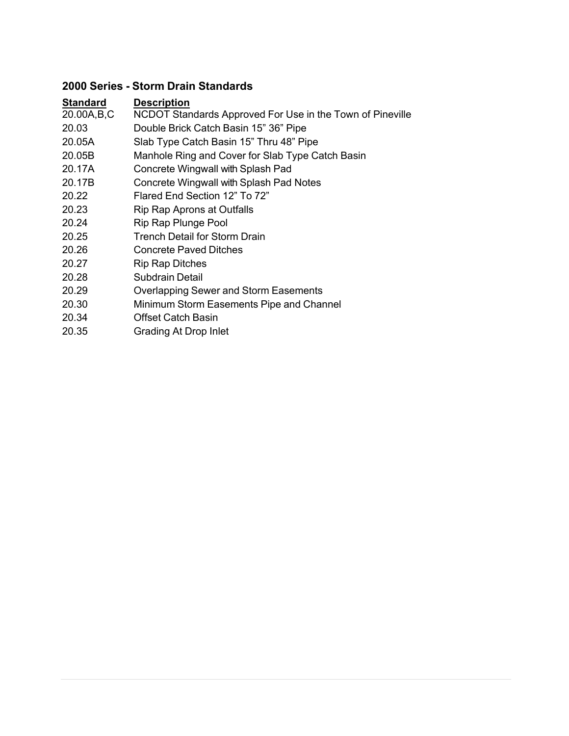#### **2000 Series - Storm Drain Standards**

| <b>Standard</b> | <b>Description</b>                                        |
|-----------------|-----------------------------------------------------------|
| 20.00A,B,C      | NCDOT Standards Approved For Use in the Town of Pineville |
| 20.03           | Double Brick Catch Basin 15" 36" Pipe                     |
| 20.05A          | Slab Type Catch Basin 15" Thru 48" Pipe                   |
| 20.05B          | Manhole Ring and Cover for Slab Type Catch Basin          |
| 20.17A          | Concrete Wingwall with Splash Pad                         |
| 20.17B          | Concrete Wingwall with Splash Pad Notes                   |
| 20.22           | Flared End Section 12" To 72"                             |
| 20.23           | Rip Rap Aprons at Outfalls                                |
| 20.24           | Rip Rap Plunge Pool                                       |
| 20.25           | Trench Detail for Storm Drain                             |
| 20.26           | <b>Concrete Paved Ditches</b>                             |
| 20.27           | <b>Rip Rap Ditches</b>                                    |
| 20.28           | Subdrain Detail                                           |
| 20.29           | <b>Overlapping Sewer and Storm Easements</b>              |
| 20.30           | Minimum Storm Easements Pipe and Channel                  |
| 20.34           | Offset Catch Basin                                        |
| 20.35           | Grading At Drop Inlet                                     |
|                 |                                                           |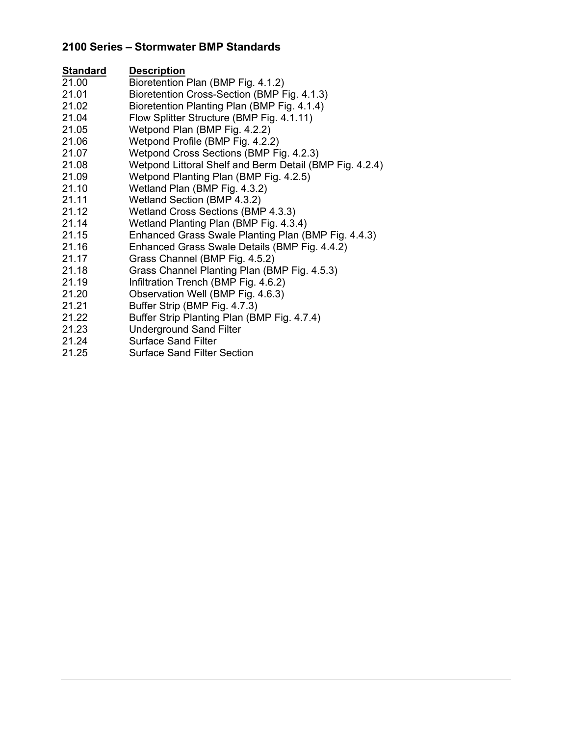#### **2100 Series – Stormwater BMP Standards**

| Standard | <b>Description</b>                                      |
|----------|---------------------------------------------------------|
| 21.00    | Bioretention Plan (BMP Fig. 4.1.2)                      |
| 21.01    | Bioretention Cross-Section (BMP Fig. 4.1.3)             |
| 21.02    | Bioretention Planting Plan (BMP Fig. 4.1.4)             |
| 21.04    | Flow Splitter Structure (BMP Fig. 4.1.11)               |
| 21.05    | Wetpond Plan (BMP Fig. 4.2.2)                           |
| 21.06    | Wetpond Profile (BMP Fig. 4.2.2)                        |
| 21.07    | Wetpond Cross Sections (BMP Fig. 4.2.3)                 |
| 21.08    | Wetpond Littoral Shelf and Berm Detail (BMP Fig. 4.2.4) |
| 21.09    | Wetpond Planting Plan (BMP Fig. 4.2.5)                  |
| 21.10    | Wetland Plan (BMP Fig. 4.3.2)                           |
| 21.11    | Wetland Section (BMP 4.3.2)                             |
| 21.12    | Wetland Cross Sections (BMP 4.3.3)                      |
| 21.14    | Wetland Planting Plan (BMP Fig. 4.3.4)                  |
| 21.15    | Enhanced Grass Swale Planting Plan (BMP Fig. 4.4.3)     |
| 21.16    | Enhanced Grass Swale Details (BMP Fig. 4.4.2)           |
| 21.17    | Grass Channel (BMP Fig. 4.5.2)                          |
| 21.18    | Grass Channel Planting Plan (BMP Fig. 4.5.3)            |
| 21.19    | Infiltration Trench (BMP Fig. 4.6.2)                    |
| 21.20    | Observation Well (BMP Fig. 4.6.3)                       |
| 21.21    | Buffer Strip (BMP Fig. 4.7.3)                           |
| 21.22    | Buffer Strip Planting Plan (BMP Fig. 4.7.4)             |
| 21.23    | <b>Underground Sand Filter</b>                          |
| 21.24    | <b>Surface Sand Filter</b>                              |
| 21.25    | <b>Surface Sand Filter Section</b>                      |
|          |                                                         |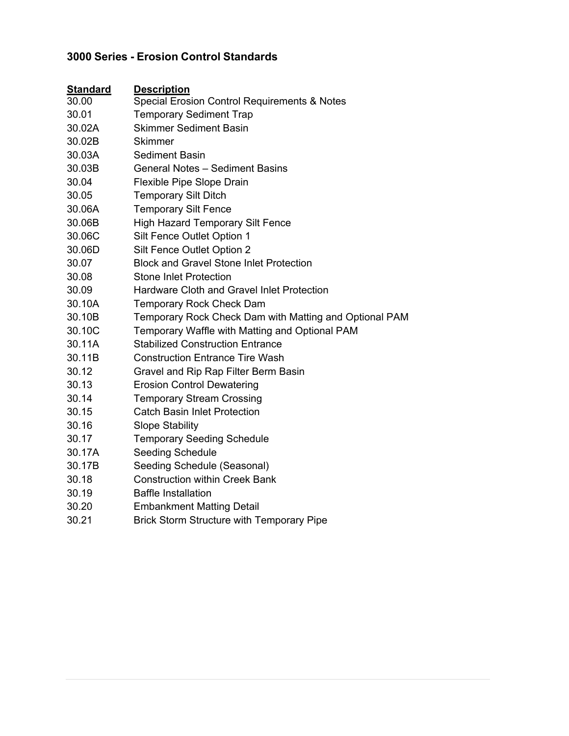### **3000 Series - Erosion Control Standards**

| <b>Standard</b> | <b>Description</b>                                     |
|-----------------|--------------------------------------------------------|
| 30.00           | Special Erosion Control Requirements & Notes           |
| 30.01           | <b>Temporary Sediment Trap</b>                         |
| 30.02A          | <b>Skimmer Sediment Basin</b>                          |
| 30.02B          | Skimmer                                                |
| 30.03A          | <b>Sediment Basin</b>                                  |
| 30.03B          | <b>General Notes - Sediment Basins</b>                 |
| 30.04           | Flexible Pipe Slope Drain                              |
| 30.05           | <b>Temporary Silt Ditch</b>                            |
| 30.06A          | <b>Temporary Silt Fence</b>                            |
| 30.06B          | <b>High Hazard Temporary Silt Fence</b>                |
| 30.06C          | Silt Fence Outlet Option 1                             |
| 30.06D          | Silt Fence Outlet Option 2                             |
| 30.07           | <b>Block and Gravel Stone Inlet Protection</b>         |
| 30.08           | <b>Stone Inlet Protection</b>                          |
| 30.09           | <b>Hardware Cloth and Gravel Inlet Protection</b>      |
| 30.10A          | <b>Temporary Rock Check Dam</b>                        |
| 30.10B          | Temporary Rock Check Dam with Matting and Optional PAM |
| 30.10C          | Temporary Waffle with Matting and Optional PAM         |
| 30.11A          | <b>Stabilized Construction Entrance</b>                |
| 30.11B          | <b>Construction Entrance Tire Wash</b>                 |
| 30.12           | Gravel and Rip Rap Filter Berm Basin                   |
| 30.13           | <b>Erosion Control Dewatering</b>                      |
| 30.14           | <b>Temporary Stream Crossing</b>                       |
| 30.15           | <b>Catch Basin Inlet Protection</b>                    |
| 30.16           | <b>Slope Stability</b>                                 |
| 30.17           | <b>Temporary Seeding Schedule</b>                      |
| 30.17A          | <b>Seeding Schedule</b>                                |
| 30.17B          | Seeding Schedule (Seasonal)                            |
| 30.18           | <b>Construction within Creek Bank</b>                  |
| 30.19           | <b>Baffle Installation</b>                             |
| 30.20           | <b>Embankment Matting Detail</b>                       |
| 30.21           | <b>Brick Storm Structure with Temporary Pipe</b>       |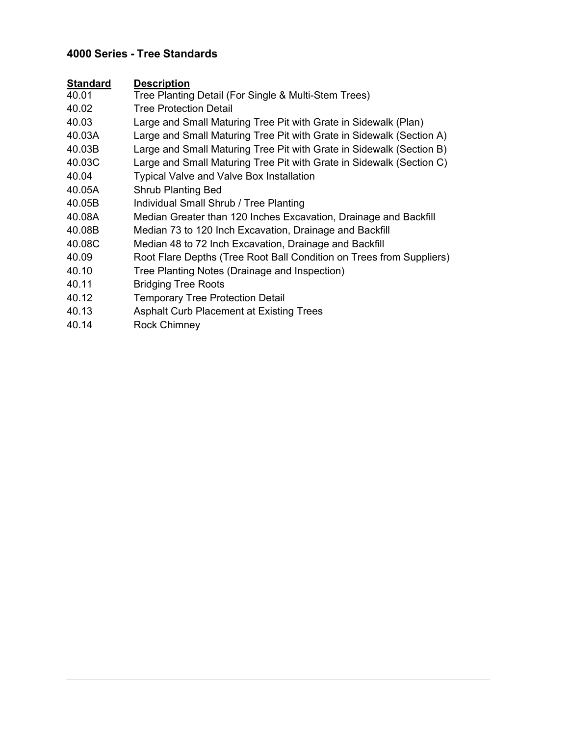## **4000 Series - Tree Standards**

| <b>Standard</b> | <b>Description</b>                                                   |
|-----------------|----------------------------------------------------------------------|
| 40.01           | Tree Planting Detail (For Single & Multi-Stem Trees)                 |
| 40.02           | Tree Protection Detail                                               |
| 40.03           | Large and Small Maturing Tree Pit with Grate in Sidewalk (Plan)      |
| 40.03A          | Large and Small Maturing Tree Pit with Grate in Sidewalk (Section A) |
| 40.03B          | Large and Small Maturing Tree Pit with Grate in Sidewalk (Section B) |
| 40.03C          | Large and Small Maturing Tree Pit with Grate in Sidewalk (Section C) |
| 40.04           | <b>Typical Valve and Valve Box Installation</b>                      |
| 40.05A          | <b>Shrub Planting Bed</b>                                            |
| 40.05B          | Individual Small Shrub / Tree Planting                               |
| 40.08A          | Median Greater than 120 Inches Excavation, Drainage and Backfill     |
| 40.08B          | Median 73 to 120 Inch Excavation, Drainage and Backfill              |
| 40.08C          | Median 48 to 72 Inch Excavation, Drainage and Backfill               |
| 40.09           | Root Flare Depths (Tree Root Ball Condition on Trees from Suppliers) |
| 40.10           | Tree Planting Notes (Drainage and Inspection)                        |
| 40.11           | <b>Bridging Tree Roots</b>                                           |
| 40.12           | <b>Temporary Tree Protection Detail</b>                              |
| 40.13           | <b>Asphalt Curb Placement at Existing Trees</b>                      |
| 40.14           | <b>Rock Chimney</b>                                                  |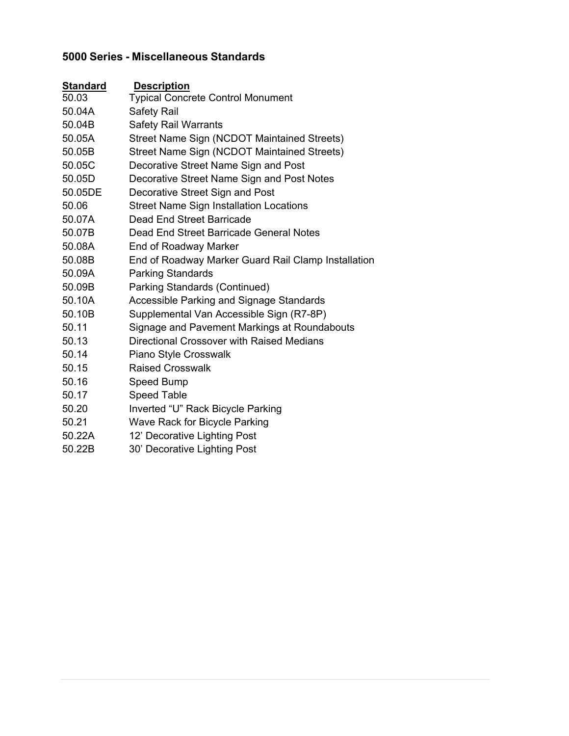#### **5000 Series - Miscellaneous Standards**

| <b>Standard</b> | <b>Description</b>                                  |
|-----------------|-----------------------------------------------------|
| 50.03           | <b>Typical Concrete Control Monument</b>            |
| 50.04A          | <b>Safety Rail</b>                                  |
| 50.04B          | <b>Safety Rail Warrants</b>                         |
| 50.05A          | Street Name Sign (NCDOT Maintained Streets)         |
| 50.05B          | Street Name Sign (NCDOT Maintained Streets)         |
| 50.05C          | Decorative Street Name Sign and Post                |
| 50.05D          | Decorative Street Name Sign and Post Notes          |
| 50.05DE         | Decorative Street Sign and Post                     |
| 50.06           | <b>Street Name Sign Installation Locations</b>      |
| 50.07A          | Dead End Street Barricade                           |
| 50.07B          | Dead End Street Barricade General Notes             |
| 50.08A          | End of Roadway Marker                               |
| 50.08B          | End of Roadway Marker Guard Rail Clamp Installation |
| 50.09A          | <b>Parking Standards</b>                            |
| 50.09B          | Parking Standards (Continued)                       |
| 50.10A          | Accessible Parking and Signage Standards            |
| 50.10B          | Supplemental Van Accessible Sign (R7-8P)            |
| 50.11           | Signage and Pavement Markings at Roundabouts        |
| 50.13           | Directional Crossover with Raised Medians           |
| 50.14           | Piano Style Crosswalk                               |
| 50.15           | <b>Raised Crosswalk</b>                             |
| 50.16           | <b>Speed Bump</b>                                   |
| 50.17           | <b>Speed Table</b>                                  |
| 50.20           | Inverted "U" Rack Bicycle Parking                   |
| 50.21           | Wave Rack for Bicycle Parking                       |
| 50.22A          | 12' Decorative Lighting Post                        |

50.22B 30' Decorative Lighting Post